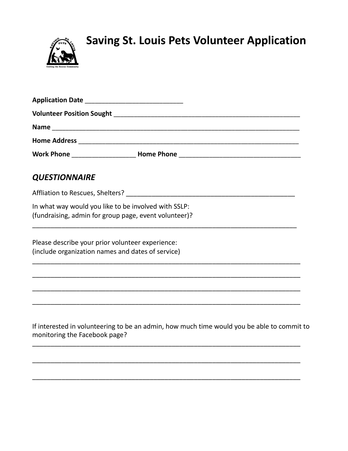

## **Saving St. Louis Pets Volunteer Application**

| Work Phone ____________________________Home Phone ______________________________                                            |
|-----------------------------------------------------------------------------------------------------------------------------|
| <b>QUESTIONNAIRE</b>                                                                                                        |
|                                                                                                                             |
| In what way would you like to be involved with SSLP:<br>(fundraising, admin for group page, event volunteer)?               |
| Please describe your prior volunteer experience:<br>(include organization names and dates of service)                       |
|                                                                                                                             |
| If interested in volunteering to be an admin, how much time would you be able to commit to<br>monitoring the Facebook page? |

\_\_\_\_\_\_\_\_\_\_\_\_\_\_\_\_\_\_\_\_\_\_\_\_\_\_\_\_\_\_\_\_\_\_\_\_\_\_\_\_\_\_\_\_\_\_\_\_\_\_\_\_\_\_\_\_\_\_\_\_\_\_\_\_\_\_\_\_\_\_\_\_\_

\_\_\_\_\_\_\_\_\_\_\_\_\_\_\_\_\_\_\_\_\_\_\_\_\_\_\_\_\_\_\_\_\_\_\_\_\_\_\_\_\_\_\_\_\_\_\_\_\_\_\_\_\_\_\_\_\_\_\_\_\_\_\_\_\_\_\_\_\_\_\_\_\_